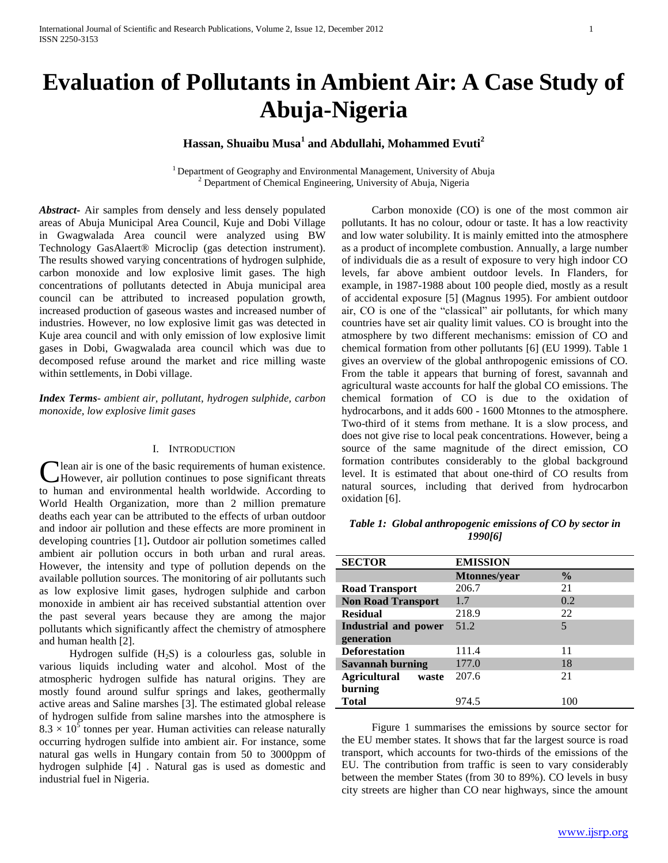# **Evaluation of Pollutants in Ambient Air: A Case Study of Abuja-Nigeria**

# **Hassan, Shuaibu Musa<sup>1</sup> and Abdullahi, Mohammed Evuti<sup>2</sup>**

<sup>1</sup> Department of Geography and Environmental Management, University of Abuja <sup>2</sup> Department of Chemical Engineering, University of Abuja, Nigeria

*Abstract***-** Air samples from densely and less densely populated areas of Abuja Municipal Area Council, Kuje and Dobi Village in Gwagwalada Area council were analyzed using BW Technology GasAlaert® Microclip (gas detection instrument). The results showed varying concentrations of hydrogen sulphide, carbon monoxide and low explosive limit gases. The high concentrations of pollutants detected in Abuja municipal area council can be attributed to increased population growth, increased production of gaseous wastes and increased number of industries. However, no low explosive limit gas was detected in Kuje area council and with only emission of low explosive limit gases in Dobi, Gwagwalada area council which was due to decomposed refuse around the market and rice milling waste within settlements, in Dobi village.

# *Index Terms*- *ambient air, pollutant, hydrogen sulphide, carbon monoxide, low explosive limit gases*

# I. INTRODUCTION

lean air is one of the basic requirements of human existence. However, air pollution continues to pose significant threats **C** lean air is one of the basic requirements of human existence.<br>However, air pollution continues to pose significant threats<br>to human and environmental health worldwide. According to World Health Organization, more than 2 million premature deaths each year can be attributed to the effects of urban outdoor and indoor air pollution and these effects are more prominent in developing countries [1]**.** Outdoor air pollution sometimes called ambient air pollution occurs in both urban and rural areas. However, the intensity and type of pollution depends on the available pollution sources. The monitoring of air pollutants such as low explosive limit gases, hydrogen sulphide and carbon monoxide in ambient air has received substantial attention over the past several years because they are among the major pollutants which significantly affect the chemistry of atmosphere and human health [2].

Hydrogen sulfide  $(H_2S)$  is a colourless gas, soluble in various liquids including water and alcohol. Most of the atmospheric hydrogen sulfide has natural origins. They are mostly found around sulfur springs and lakes, geothermally active areas and Saline marshes [3]. The estimated global release of hydrogen sulfide from saline marshes into the atmosphere is  $8.3 \times 10^5$  tonnes per year. Human activities can release naturally occurring hydrogen sulfide into ambient air. For instance, some natural gas wells in Hungary contain from 50 to 3000ppm of hydrogen sulphide [4] *.* Natural gas is used as domestic and industrial fuel in Nigeria.

 Carbon monoxide (CO) is one of the most common air pollutants. It has no colour, odour or taste. It has a low reactivity and low water solubility. It is mainly emitted into the atmosphere as a product of incomplete combustion. Annually, a large number of individuals die as a result of exposure to very high indoor CO levels, far above ambient outdoor levels. In Flanders, for example, in 1987-1988 about 100 people died, mostly as a result of accidental exposure [5] (Magnus 1995). For ambient outdoor air, CO is one of the "classical" air pollutants, for which many countries have set air quality limit values. CO is brought into the atmosphere by two different mechanisms: emission of CO and chemical formation from other pollutants [6] (EU 1999). Table 1 gives an overview of the global anthropogenic emissions of CO. From the table it appears that burning of forest, savannah and agricultural waste accounts for half the global CO emissions. The chemical formation of CO is due to the oxidation of hydrocarbons, and it adds 600 - 1600 Mtonnes to the atmosphere. Two-third of it stems from methane. It is a slow process, and does not give rise to local peak concentrations. However, being a source of the same magnitude of the direct emission, CO formation contributes considerably to the global background level. It is estimated that about one-third of CO results from natural sources, including that derived from hydrocarbon oxidation [6].

| Table 1: Global anthropogenic emissions of CO by sector in |  |
|------------------------------------------------------------|--|
| 1990[6]                                                    |  |

| <b>SECTOR</b>                | <b>EMISSION</b>     |               |
|------------------------------|---------------------|---------------|
|                              | <b>Mtonnes/year</b> | $\frac{0}{0}$ |
| <b>Road Transport</b>        | 206.7               | 21            |
| <b>Non Road Transport</b>    | 1.7                 | 0.2           |
| <b>Residual</b>              | 218.9               | 22            |
| Industrial and power         | 51.2                | 5             |
| generation                   |                     |               |
| <b>Deforestation</b>         | 111.4               | 11            |
| Savannah burning             | 177.0               | 18            |
| <b>Agricultural</b><br>waste | 207.6               | 21            |
| burning                      |                     |               |
| Total                        | 974.5               | 1 O C         |

 Figure 1 summarises the emissions by source sector for the EU member states. It shows that far the largest source is road transport, which accounts for two-thirds of the emissions of the EU. The contribution from traffic is seen to vary considerably between the member States (from 30 to 89%). CO levels in busy city streets are higher than CO near highways, since the amount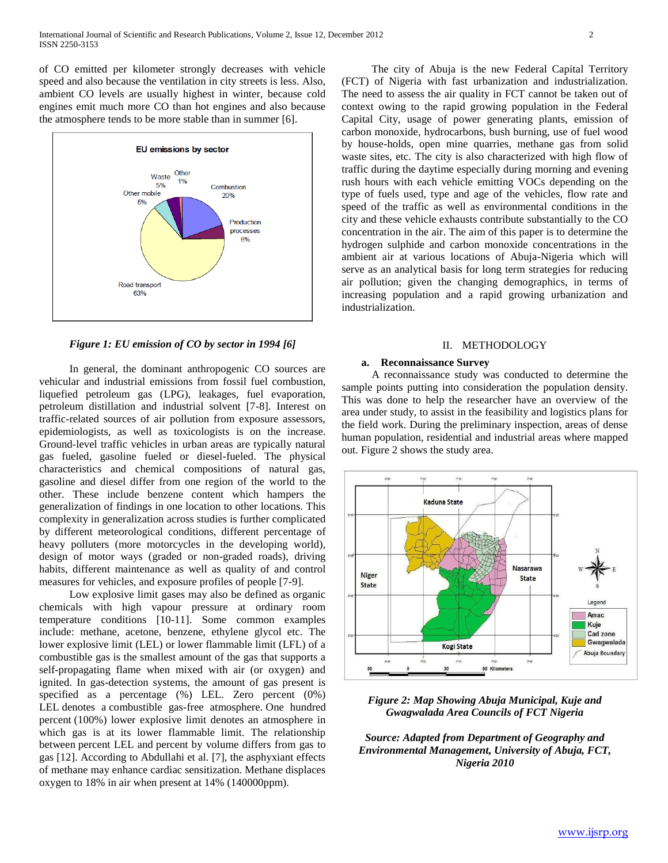of CO emitted per kilometer strongly decreases with vehicle speed and also because the ventilation in city streets is less. Also, ambient CO levels are usually highest in winter, because cold engines emit much more CO than hot engines and also because the atmosphere tends to be more stable than in summer [6].



*Figure 1: EU emission of CO by sector in 1994 [6]*

 In general, the dominant anthropogenic CO sources are vehicular and industrial emissions from fossil fuel combustion, liquefied petroleum gas (LPG), leakages, fuel evaporation, petroleum distillation and industrial solvent [7-8]. Interest on traffic-related sources of air pollution from exposure assessors, epidemiologists, as well as toxicologists is on the increase. Ground-level traffic vehicles in urban areas are typically natural gas fueled, gasoline fueled or diesel-fueled. The physical characteristics and chemical compositions of natural gas, gasoline and diesel differ from one region of the world to the other. These include benzene content which hampers the generalization of findings in one location to other locations. This complexity in generalization across studies is further complicated by different meteorological conditions, different percentage of heavy polluters (more motorcycles in the developing world), design of motor ways (graded or non-graded roads), driving habits, different maintenance as well as quality of and control measures for vehicles, and exposure profiles of people [7-9].

 Low explosive limit gases may also be defined as organic chemicals with high vapour pressure at ordinary room temperature conditions [10-11]. Some common examples include: methane, acetone, benzene, ethylene glycol etc. The lower explosive limit (LEL) or lower flammable limit (LFL) of a combustible gas is the smallest amount of the gas that supports a self-propagating flame when mixed with air (or oxygen) and ignited. In gas-detection systems, the amount of gas present is specified as a percentage (%) LEL. Zero percent (0%) LEL denotes a combustible gas-free atmosphere. One hundred percent (100%) lower explosive limit denotes an atmosphere in which gas is at its lower flammable limit. The relationship between percent LEL and percent by volume differs from gas to gas [12]. According to Abdullahi et al. [7], the asphyxiant effects of methane may enhance cardiac sensitization. Methane displaces oxygen to 18% in air when present at 14% (140000ppm).

 The city of Abuja is the new Federal Capital Territory (FCT) of Nigeria with fast urbanization and industrialization. The need to assess the air quality in FCT cannot be taken out of context owing to the rapid growing population in the Federal Capital City, usage of power generating plants, emission of carbon monoxide, hydrocarbons, bush burning, use of fuel wood by house-holds, open mine quarries, methane gas from solid waste sites, etc. The city is also characterized with high flow of traffic during the daytime especially during morning and evening rush hours with each vehicle emitting VOCs depending on the type of fuels used, type and age of the vehicles, flow rate and speed of the traffic as well as environmental conditions in the city and these vehicle exhausts contribute substantially to the CO concentration in the air. The aim of this paper is to determine the hydrogen sulphide and carbon monoxide concentrations in the ambient air at various locations of Abuja-Nigeria which will serve as an analytical basis for long term strategies for reducing air pollution; given the changing demographics, in terms of increasing population and a rapid growing urbanization and industrialization.

#### II. METHODOLOGY

#### **a. Reconnaissance Survey**

 A reconnaissance study was conducted to determine the sample points putting into consideration the population density. This was done to help the researcher have an overview of the area under study, to assist in the feasibility and logistics plans for the field work. During the preliminary inspection, areas of dense human population, residential and industrial areas where mapped out. Figure 2 shows the study area.



*Figure 2: Map Showing Abuja Municipal, Kuje and Gwagwalada Area Councils of FCT Nigeria*

*Source: Adapted from Department of Geography and Environmental Management, University of Abuja, FCT, Nigeria 2010*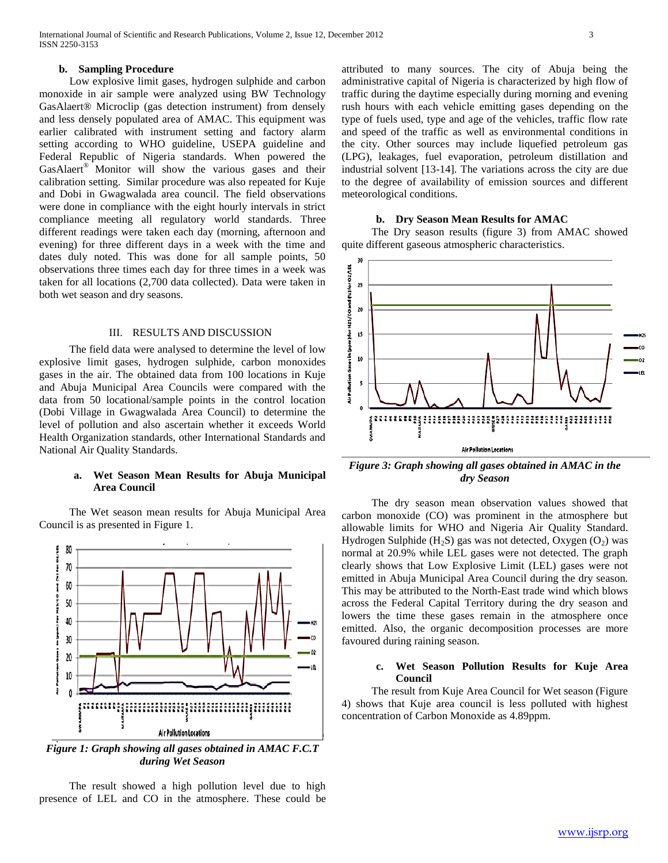#### **b. Sampling Procedure**

 Low explosive limit gases, hydrogen sulphide and carbon monoxide in air sample were analyzed using BW Technology GasAlaert® Microclip (gas detection instrument) from densely and less densely populated area of AMAC. This equipment was earlier calibrated with instrument setting and factory alarm setting according to WHO guideline, USEPA guideline and Federal Republic of Nigeria standards. When powered the GasAlaert® Monitor will show the various gases and their calibration setting. Similar procedure was also repeated for Kuje and Dobi in Gwagwalada area council. The field observations were done in compliance with the eight hourly intervals in strict compliance meeting all regulatory world standards. Three different readings were taken each day (morning, afternoon and evening) for three different days in a week with the time and dates duly noted. This was done for all sample points, 50 observations three times each day for three times in a week was taken for all locations (2,700 data collected). Data were taken in both wet season and dry seasons.

#### III. RESULTS AND DISCUSSION

 The field data were analysed to determine the level of low explosive limit gases, hydrogen sulphide, carbon monoxides gases in the air. The obtained data from 100 locations in Kuje and Abuja Municipal Area Councils were compared with the data from 50 locational/sample points in the control location (Dobi Village in Gwagwalada Area Council) to determine the level of pollution and also ascertain whether it exceeds World Health Organization standards, other International Standards and National Air Quality Standards.

### **a. Wet Season Mean Results for Abuja Municipal Area Council**

 The Wet season mean results for Abuja Municipal Area Council is as presented in Figure 1.



*Figure 1: Graph showing all gases obtained in AMAC F.C.T during Wet Season*

 The result showed a high pollution level due to high presence of LEL and CO in the atmosphere. These could be attributed to many sources. The city of Abuja being the administrative capital of Nigeria is characterized by high flow of traffic during the daytime especially during morning and evening rush hours with each vehicle emitting gases depending on the type of fuels used, type and age of the vehicles, traffic flow rate and speed of the traffic as well as environmental conditions in the city. Other sources may include liquefied petroleum gas (LPG), leakages, fuel evaporation, petroleum distillation and industrial solvent [13-14]. The variations across the city are due to the degree of availability of emission sources and different meteorological conditions.

#### **b. Dry Season Mean Results for AMAC**

 The Dry season results (figure 3) from AMAC showed quite different gaseous atmospheric characteristics.



*Figure 3: Graph showing all gases obtained in AMAC in the dry Season*

 The dry season mean observation values showed that carbon monoxide (CO) was prominent in the atmosphere but allowable limits for WHO and Nigeria Air Quality Standard. Hydrogen Sulphide  $(H_2S)$  gas was not detected, Oxygen  $(O_2)$  was normal at 20.9% while LEL gases were not detected. The graph clearly shows that Low Explosive Limit (LEL) gases were not emitted in Abuja Municipal Area Council during the dry season. This may be attributed to the North-East trade wind which blows across the Federal Capital Territory during the dry season and lowers the time these gases remain in the atmosphere once emitted. Also, the organic decomposition processes are more favoured during raining season.

# **c. Wet Season Pollution Results for Kuje Area Council**

 The result from Kuje Area Council for Wet season (Figure 4) shows that Kuje area council is less polluted with highest concentration of Carbon Monoxide as 4.89ppm.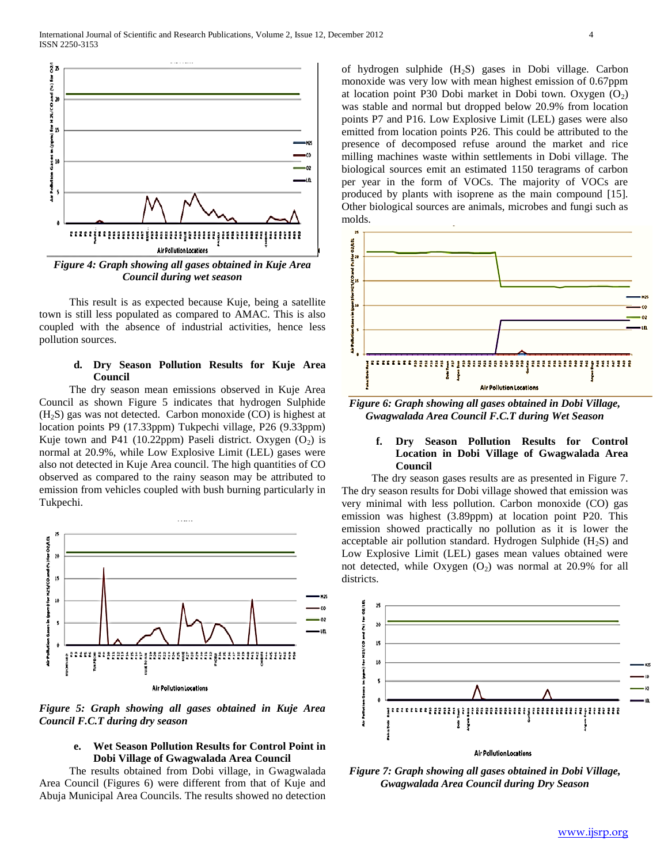

 This result is as expected because Kuje, being a satellite town is still less populated as compared to AMAC. This is also coupled with the absence of industrial activities, hence less pollution sources.

## **d. Dry Season Pollution Results for Kuje Area Council**

 The dry season mean emissions observed in Kuje Area Council as shown Figure 5 indicates that hydrogen Sulphide  $(H<sub>2</sub>S)$  gas was not detected. Carbon monoxide (CO) is highest at location points P9 (17.33ppm) Tukpechi village, P26 (9.33ppm) Kuje town and P41 (10.22ppm) Paseli district. Oxygen  $(O_2)$  is normal at 20.9%, while Low Explosive Limit (LEL) gases were also not detected in Kuje Area council. The high quantities of CO observed as compared to the rainy season may be attributed to emission from vehicles coupled with bush burning particularly in Tukpechi.



Air Pollution Locations

*Figure 5: Graph showing all gases obtained in Kuje Area Council F.C.T during dry season*

# **e. Wet Season Pollution Results for Control Point in Dobi Village of Gwagwalada Area Council**

 The results obtained from Dobi village, in Gwagwalada Area Council (Figures 6) were different from that of Kuje and Abuja Municipal Area Councils. The results showed no detection of hydrogen sulphide  $(H_2S)$  gases in Dobi village. Carbon monoxide was very low with mean highest emission of 0.67ppm at location point P30 Dobi market in Dobi town. Oxygen  $(O_2)$ was stable and normal but dropped below 20.9% from location points P7 and P16. Low Explosive Limit (LEL) gases were also emitted from location points P26. This could be attributed to the presence of decomposed refuse around the market and rice milling machines waste within settlements in Dobi village. The biological sources emit an estimated 1150 teragrams of carbon per year in the form of VOCs. The majority of VOCs are produced by plants with isoprene as the main compound [15]. Other biological sources are animals, microbes and fungi such as molds.



*Figure 6: Graph showing all gases obtained in Dobi Village, Gwagwalada Area Council F.C.T during Wet Season*

# **f. Dry Season Pollution Results for Control Location in Dobi Village of Gwagwalada Area Council**

 The dry season gases results are as presented in Figure 7. The dry season results for Dobi village showed that emission was very minimal with less pollution. Carbon monoxide (CO) gas emission was highest (3.89ppm) at location point P20. This emission showed practically no pollution as it is lower the acceptable air pollution standard. Hydrogen Sulphide  $(H<sub>2</sub>S)$  and Low Explosive Limit (LEL) gases mean values obtained were not detected, while Oxygen  $(O<sub>2</sub>)$  was normal at 20.9% for all districts.



*Figure 7: Graph showing all gases obtained in Dobi Village, Gwagwalada Area Council during Dry Season*